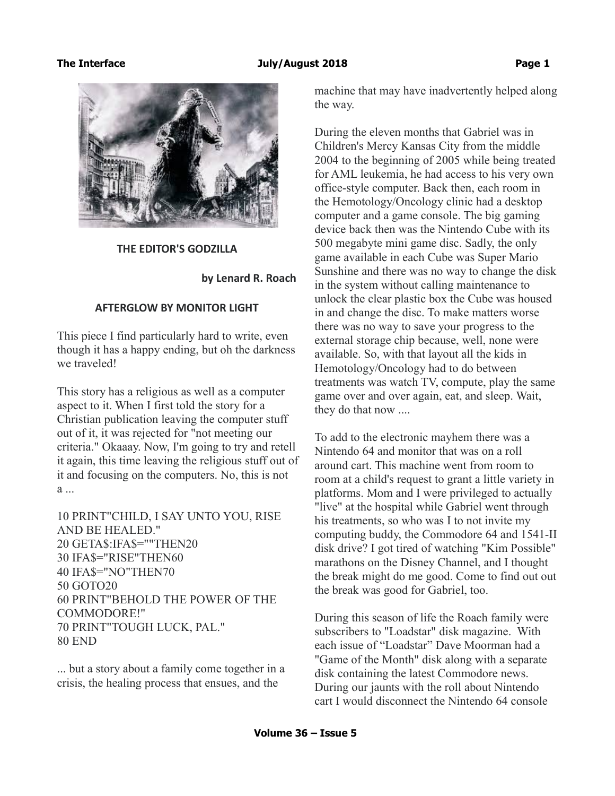

 **THE EDITOR'S GODZILLA**

 **by Lenard R. Roach**

#### **AFTERGLOW BY MONITOR LIGHT**

This piece I find particularly hard to write, even though it has a happy ending, but oh the darkness we traveled!

This story has a religious as well as a computer aspect to it. When I first told the story for a Christian publication leaving the computer stuff out of it, it was rejected for "not meeting our criteria." Okaaay. Now, I'm going to try and retell it again, this time leaving the religious stuff out of it and focusing on the computers. No, this is not  $a$  ...

10 PRINT"CHILD, I SAY UNTO YOU, RISE AND BE HEALED." 20 GETA\$:IFA\$=""THEN20 30 IFA\$="RISE"THEN60 40 IFA\$="NO"THEN70 50 GOTO20 60 PRINT"BEHOLD THE POWER OF THE COMMODORE!" 70 PRINT"TOUGH LUCK, PAL." 80 END

... but a story about a family come together in a crisis, the healing process that ensues, and the

machine that may have inadvertently helped along the way.

During the eleven months that Gabriel was in Children's Mercy Kansas City from the middle 2004 to the beginning of 2005 while being treated for AML leukemia, he had access to his very own office-style computer. Back then, each room in the Hemotology/Oncology clinic had a desktop computer and a game console. The big gaming device back then was the Nintendo Cube with its 500 megabyte mini game disc. Sadly, the only game available in each Cube was Super Mario Sunshine and there was no way to change the disk in the system without calling maintenance to unlock the clear plastic box the Cube was housed in and change the disc. To make matters worse there was no way to save your progress to the external storage chip because, well, none were available. So, with that layout all the kids in Hemotology/Oncology had to do between treatments was watch TV, compute, play the same game over and over again, eat, and sleep. Wait, they do that now ....

To add to the electronic mayhem there was a Nintendo 64 and monitor that was on a roll around cart. This machine went from room to room at a child's request to grant a little variety in platforms. Mom and I were privileged to actually "live" at the hospital while Gabriel went through his treatments, so who was I to not invite my computing buddy, the Commodore 64 and 1541-II disk drive? I got tired of watching "Kim Possible" marathons on the Disney Channel, and I thought the break might do me good. Come to find out out the break was good for Gabriel, too.

During this season of life the Roach family were subscribers to "Loadstar" disk magazine. With each issue of "Loadstar" Dave Moorman had a "Game of the Month" disk along with a separate disk containing the latest Commodore news. During our jaunts with the roll about Nintendo cart I would disconnect the Nintendo 64 console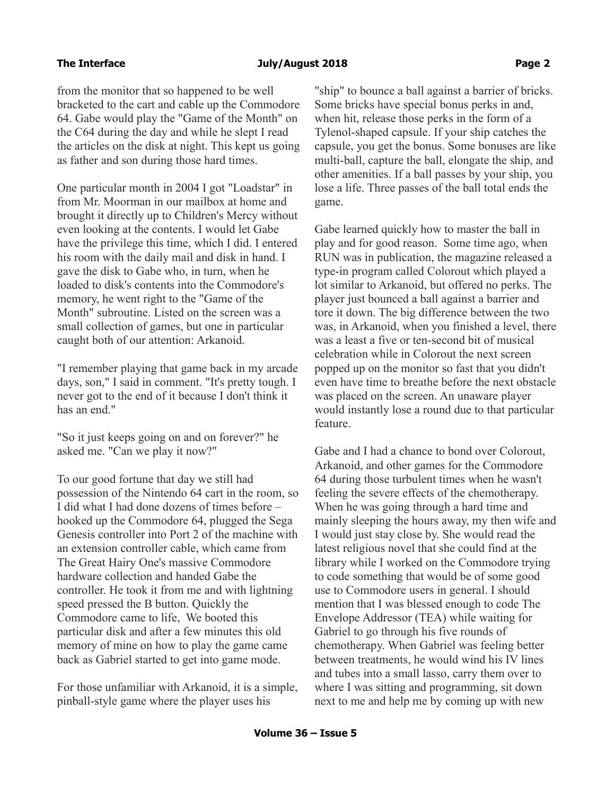from the monitor that so happened to be well bracketed to the cart and cable up the Commodore 64. Gabe would play the "Game of the Month" on the C64 during the day and while he slept I read the articles on the disk at night. This kept us going as father and son during those hard times.

One particular month in 2004 I got "Loadstar" in from Mr. Moorman in our mailbox at home and brought it directly up to Children's Mercy without even looking at the contents. I would let Gabe have the privilege this time, which I did. I entered his room with the daily mail and disk in hand. I gave the disk to Gabe who, in turn, when he loaded to disk's contents into the Commodore's memory, he went right to the "Game of the Month" subroutine. Listed on the screen was a small collection of games, but one in particular caught both of our attention: Arkanoid.

"I remember playing that game back in my arcade days, son," I said in comment. "It's pretty tough. I never got to the end of it because I don't think it has an end."

"So it just keeps going on and on forever?" he asked me. "Can we play it now?"

To our good fortune that day we still had possession of the Nintendo 64 cart in the room, so I did what I had done dozens of times before – hooked up the Commodore 64, plugged the Sega Genesis controller into Port 2 of the machine with an extension controller cable, which came from The Great Hairy One's massive Commodore hardware collection and handed Gabe the controller. He took it from me and with lightning speed pressed the B button. Quickly the Commodore came to life, We booted this particular disk and after a few minutes this old memory of mine on how to play the game came back as Gabriel started to get into game mode.

For those unfamiliar with Arkanoid, it is a simple, pinball-style game where the player uses his

"ship" to bounce a ball against a barrier of bricks. Some bricks have special bonus perks in and, when hit, release those perks in the form of a Tylenol-shaped capsule. If your ship catches the capsule, you get the bonus. Some bonuses are like multi-ball, capture the ball, elongate the ship, and other amenities. If a ball passes by your ship, you lose a life. Three passes of the ball total ends the game.

Gabe learned quickly how to master the ball in play and for good reason. Some time ago, when RUN was in publication, the magazine released a type-in program called Colorout which played a lot similar to Arkanoid, but offered no perks. The player just bounced a ball against a barrier and tore it down. The big difference between the two was, in Arkanoid, when you finished a level, there was a least a five or ten-second bit of musical celebration while in Colorout the next screen popped up on the monitor so fast that you didn't even have time to breathe before the next obstacle was placed on the screen. An unaware player would instantly lose a round due to that particular feature.

Gabe and I had a chance to bond over Colorout, Arkanoid, and other games for the Commodore 64 during those turbulent times when he wasn't feeling the severe effects of the chemotherapy. When he was going through a hard time and mainly sleeping the hours away, my then wife and I would just stay close by. She would read the latest religious novel that she could find at the library while I worked on the Commodore trying to code something that would be of some good use to Commodore users in general. I should mention that I was blessed enough to code The Envelope Addressor (TEA) while waiting for Gabriel to go through his five rounds of chemotherapy. When Gabriel was feeling better between treatments, he would wind his IV lines and tubes into a small lasso, carry them over to where I was sitting and programming, sit down next to me and help me by coming up with new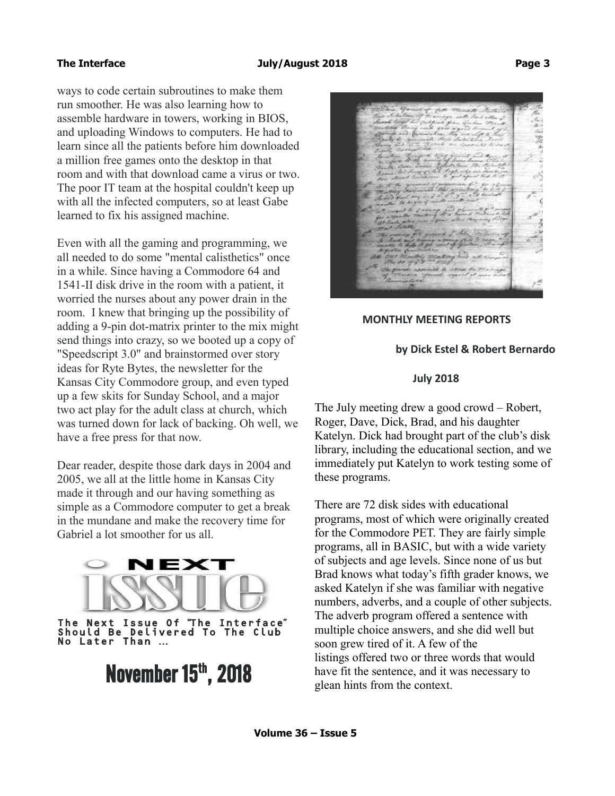ways to code certain subroutines to make them run smoother. He was also learning how to assemble hardware in towers, working in BIOS, and uploading Windows to computers. He had to learn since all the patients before him downloaded a million free games onto the desktop in that room and with that download came a virus or two. The poor IT team at the hospital couldn't keep up with all the infected computers, so at least Gabe learned to fix his assigned machine.

Even with all the gaming and programming, we all needed to do some "mental calisthetics" once in a while. Since having a Commodore 64 and 1541-II disk drive in the room with a patient, it worried the nurses about any power drain in the room. I knew that bringing up the possibility of adding a 9-pin dot-matrix printer to the mix might send things into crazy, so we booted up a copy of "Speedscript 3.0" and brainstormed over story ideas for Ryte Bytes, the newsletter for the Kansas City Commodore group, and even typed up a few skits for Sunday School, and a major two act play for the adult class at church, which was turned down for lack of backing. Oh well, we have a free press for that now.

Dear reader, despite those dark days in 2004 and 2005, we all at the little home in Kansas City made it through and our having something as simple as a Commodore computer to get a break in the mundane and make the recovery time for Gabriel a lot smoother for us all.



The Next Issue Of "The Interface" Should Be Delivered To The Club No Later Than …

# **November 15th, 2018**

# **MONTHLY MEETING REPORTS**

# **by Dick Estel & Robert Bernardo**

### **July 2018**

The July meeting drew a good crowd – Robert, Roger, Dave, Dick, Brad, and his daughter Katelyn. Dick had brought part of the club's disk library, including the educational section, and we immediately put Katelyn to work testing some of these programs.

There are 72 disk sides with educational programs, most of which were originally created for the Commodore PET. They are fairly simple programs, all in BASIC, but with a wide variety of subjects and age levels. Since none of us but Brad knows what today's fifth grader knows, we asked Katelyn if she was familiar with negative numbers, adverbs, and a couple of other subjects. The adverb program offered a sentence with multiple choice answers, and she did well but soon grew tired of it. A few of the listings offered two or three words that would have fit the sentence, and it was necessary to glean hints from the context.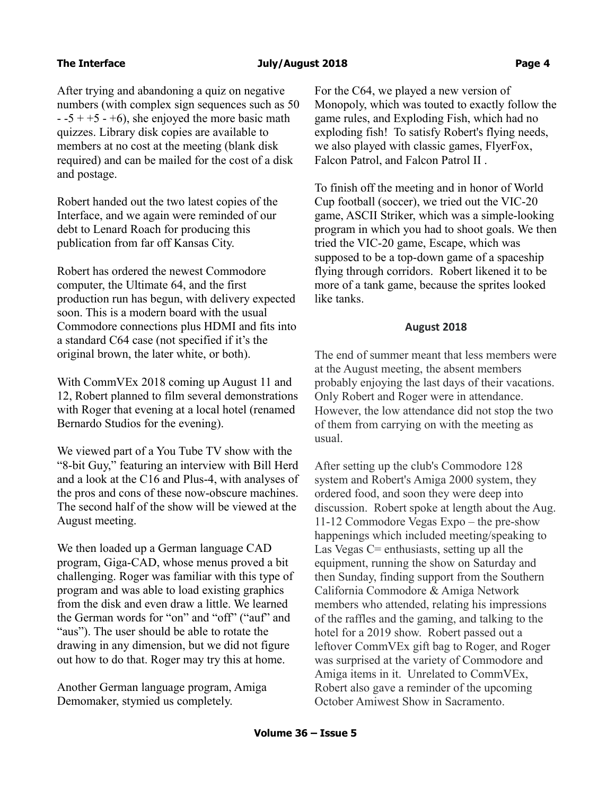After trying and abandoning a quiz on negative numbers (with complex sign sequences such as 50  $-5 + 5 - 6$ , she enjoyed the more basic math quizzes. Library disk copies are available to members at no cost at the meeting (blank disk required) and can be mailed for the cost of a disk and postage.

Robert handed out the two latest copies of the Interface, and we again were reminded of our debt to Lenard Roach for producing this publication from far off Kansas City.

Robert has ordered the newest Commodore computer, the Ultimate 64, and the first production run has begun, with delivery expected soon. This is a modern board with the usual Commodore connections plus HDMI and fits into a standard C64 case (not specified if it's the original brown, the later white, or both).

With CommVEx 2018 coming up August 11 and 12, Robert planned to film several demonstrations with Roger that evening at a local hotel (renamed Bernardo Studios for the evening).

We viewed part of a You Tube TV show with the "8-bit Guy," featuring an interview with Bill Herd and a look at the C16 and Plus-4, with analyses of the pros and cons of these now-obscure machines. The second half of the show will be viewed at the August meeting.

We then loaded up a German language CAD program, Giga-CAD, whose menus proved a bit challenging. Roger was familiar with this type of program and was able to load existing graphics from the disk and even draw a little. We learned the German words for "on" and "off" ("auf" and "aus"). The user should be able to rotate the drawing in any dimension, but we did not figure out how to do that. Roger may try this at home.

Another German language program, Amiga Demomaker, stymied us completely.

For the C64, we played a new version of Monopoly, which was touted to exactly follow the game rules, and Exploding Fish, which had no exploding fish! To satisfy Robert's flying needs, we also played with classic games, FlyerFox, Falcon Patrol, and Falcon Patrol II .

To finish off the meeting and in honor of World Cup football (soccer), we tried out the VIC-20 game, ASCII Striker, which was a simple-looking program in which you had to shoot goals. We then tried the VIC-20 game, Escape, which was supposed to be a top-down game of a spaceship flying through corridors. Robert likened it to be more of a tank game, because the sprites looked like tanks.

#### **August 2018**

The end of summer meant that less members were at the August meeting, the absent members probably enjoying the last days of their vacations. Only Robert and Roger were in attendance. However, the low attendance did not stop the two of them from carrying on with the meeting as usual.

After setting up the club's Commodore 128 system and Robert's Amiga 2000 system, they ordered food, and soon they were deep into discussion. Robert spoke at length about the Aug. 11-12 Commodore Vegas Expo – the pre-show happenings which included meeting/speaking to Las Vegas C= enthusiasts, setting up all the equipment, running the show on Saturday and then Sunday, finding support from the Southern California Commodore & Amiga Network members who attended, relating his impressions of the raffles and the gaming, and talking to the hotel for a 2019 show. Robert passed out a leftover CommVEx gift bag to Roger, and Roger was surprised at the variety of Commodore and Amiga items in it. Unrelated to CommVEx, Robert also gave a reminder of the upcoming October Amiwest Show in Sacramento.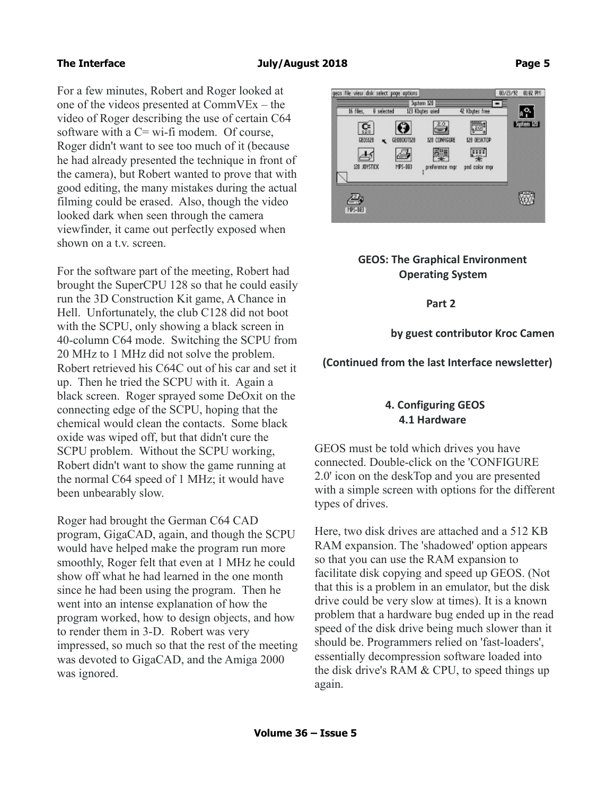For a few minutes, Robert and Roger looked at one of the videos presented at CommVEx – the video of Roger describing the use of certain C64 software with a C= wi-fi modem. Of course, Roger didn't want to see too much of it (because he had already presented the technique in front of the camera), but Robert wanted to prove that with good editing, the many mistakes during the actual filming could be erased. Also, though the video looked dark when seen through the camera viewfinder, it came out perfectly exposed when shown on a t.v. screen.

For the software part of the meeting, Robert had brought the SuperCPU 128 so that he could easily run the 3D Construction Kit game, A Chance in Hell. Unfortunately, the club C128 did not boot with the SCPU, only showing a black screen in 40-column C64 mode. Switching the SCPU from 20 MHz to 1 MHz did not solve the problem. Robert retrieved his C64C out of his car and set it up. Then he tried the SCPU with it. Again a black screen. Roger sprayed some DeOxit on the connecting edge of the SCPU, hoping that the chemical would clean the contacts. Some black oxide was wiped off, but that didn't cure the SCPU problem. Without the SCPU working, Robert didn't want to show the game running at the normal C64 speed of 1 MHz; it would have been unbearably slow.

Roger had brought the German C64 CAD program, GigaCAD, again, and though the SCPU would have helped make the program run more smoothly, Roger felt that even at 1 MHz he could show off what he had learned in the one month since he had been using the program. Then he went into an intense explanation of how the program worked, how to design objects, and how to render them in 3-D. Robert was very impressed, so much so that the rest of the meeting was devoted to GigaCAD, and the Amiga 2000 was ignored.



# **GEOS: The Graphical Environment Operating System**

 **Part 2**

 **by guest contributor Kroc Camen**

 **(Continued from the last Interface newsletter)**

# **4. Configuring GEOS 4.1 Hardware**

GEOS must be told which drives you have connected. Double-click on the 'CONFIGURE 2.0' icon on the deskTop and you are presented with a simple screen with options for the different types of drives.

Here, two disk drives are attached and a 512 KB RAM expansion. The 'shadowed' option appears so that you can use the RAM expansion to facilitate disk copying and speed up GEOS. (Not that this is a problem in an emulator, but the disk drive could be very slow at times). It is a known problem that a hardware bug ended up in the read speed of the disk drive being much slower than it should be. Programmers relied on 'fast-loaders', essentially decompression software loaded into the disk drive's RAM & CPU, to speed things up again.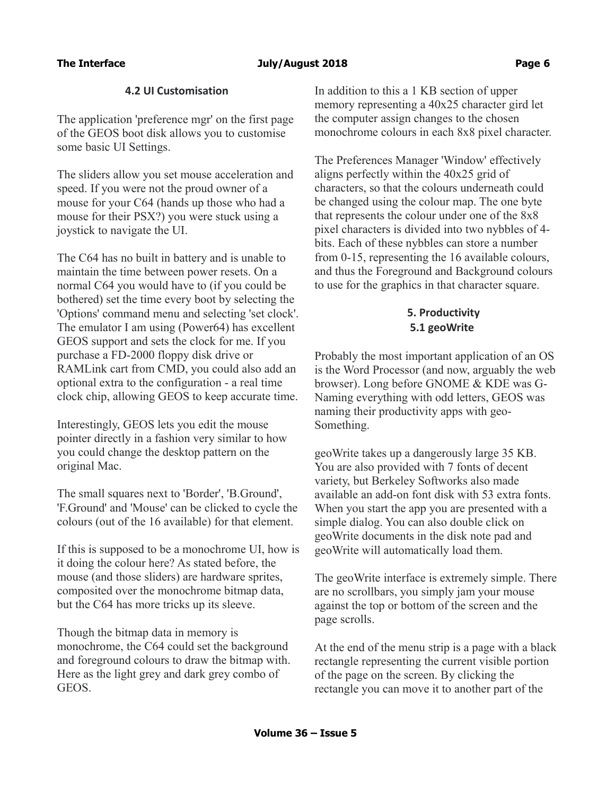# The Interface **Contract Contract 2018 Page 6 Page 6 Page 6**

# **4.2 UI Customisation**

The application 'preference mgr' on the first page of the GEOS boot disk allows you to customise some basic UI Settings.

The sliders allow you set mouse acceleration and speed. If you were not the proud owner of a mouse for your C64 (hands up those who had a mouse for their PSX?) you were stuck using a joystick to navigate the UI.

The C64 has no built in battery and is unable to maintain the time between power resets. On a normal C64 you would have to (if you could be bothered) set the time every boot by selecting the 'Options' command menu and selecting 'set clock'. The emulator I am using (Power64) has excellent GEOS support and sets the clock for me. If you purchase a FD-2000 floppy disk drive or RAMLink cart from CMD, you could also add an optional extra to the configuration - a real time clock chip, allowing GEOS to keep accurate time.

Interestingly, GEOS lets you edit the mouse pointer directly in a fashion very similar to how you could change the desktop pattern on the original Mac.

The small squares next to 'Border', 'B.Ground', 'F.Ground' and 'Mouse' can be clicked to cycle the colours (out of the 16 available) for that element.

If this is supposed to be a monochrome UI, how is it doing the colour here? As stated before, the mouse (and those sliders) are hardware sprites, composited over the monochrome bitmap data, but the C64 has more tricks up its sleeve.

Though the bitmap data in memory is monochrome, the C64 could set the background and foreground colours to draw the bitmap with. Here as the light grey and dark grey combo of GEOS.

In addition to this a 1 KB section of upper memory representing a 40x25 character gird let the computer assign changes to the chosen monochrome colours in each 8x8 pixel character.

The Preferences Manager 'Window' effectively aligns perfectly within the 40x25 grid of characters, so that the colours underneath could be changed using the colour map. The one byte that represents the colour under one of the 8x8 pixel characters is divided into two nybbles of 4 bits. Each of these nybbles can store a number from 0-15, representing the 16 available colours, and thus the Foreground and Background colours to use for the graphics in that character square.

# **5. Productivity 5.1 geoWrite**

Probably the most important application of an OS is the Word Processor (and now, arguably the web browser). Long before GNOME & KDE was G-Naming everything with odd letters, GEOS was naming their productivity apps with geo-Something.

geoWrite takes up a dangerously large 35 KB. You are also provided with 7 fonts of decent variety, but Berkeley Softworks also made available an add-on font disk with 53 extra fonts. When you start the app you are presented with a simple dialog. You can also double click on geoWrite documents in the disk note pad and geoWrite will automatically load them.

The geoWrite interface is extremely simple. There are no scrollbars, you simply jam your mouse against the top or bottom of the screen and the page scrolls.

At the end of the menu strip is a page with a black rectangle representing the current visible portion of the page on the screen. By clicking the rectangle you can move it to another part of the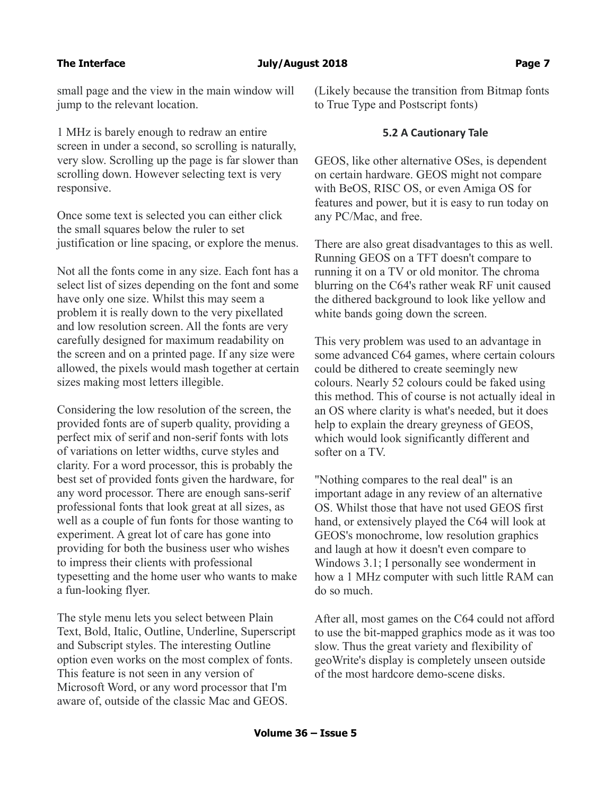small page and the view in the main window will jump to the relevant location.

1 MHz is barely enough to redraw an entire screen in under a second, so scrolling is naturally, very slow. Scrolling up the page is far slower than scrolling down. However selecting text is very responsive.

Once some text is selected you can either click the small squares below the ruler to set justification or line spacing, or explore the menus.

Not all the fonts come in any size. Each font has a select list of sizes depending on the font and some have only one size. Whilst this may seem a problem it is really down to the very pixellated and low resolution screen. All the fonts are very carefully designed for maximum readability on the screen and on a printed page. If any size were allowed, the pixels would mash together at certain sizes making most letters illegible.

Considering the low resolution of the screen, the provided fonts are of superb quality, providing a perfect mix of serif and non-serif fonts with lots of variations on letter widths, curve styles and clarity. For a word processor, this is probably the best set of provided fonts given the hardware, for any word processor. There are enough sans-serif professional fonts that look great at all sizes, as well as a couple of fun fonts for those wanting to experiment. A great lot of care has gone into providing for both the business user who wishes to impress their clients with professional typesetting and the home user who wants to make a fun-looking flyer.

The style menu lets you select between Plain Text, Bold, Italic, Outline, Underline, Superscript and Subscript styles. The interesting Outline option even works on the most complex of fonts. This feature is not seen in any version of Microsoft Word, or any word processor that I'm aware of, outside of the classic Mac and GEOS.

(Likely because the transition from Bitmap fonts to True Type and Postscript fonts)

#### **5.2 A Cautionary Tale**

GEOS, like other alternative OSes, is dependent on certain hardware. GEOS might not compare with BeOS, RISC OS, or even Amiga OS for features and power, but it is easy to run today on any PC/Mac, and free.

There are also great disadvantages to this as well. Running GEOS on a TFT doesn't compare to running it on a TV or old monitor. The chroma blurring on the C64's rather weak RF unit caused the dithered background to look like yellow and white bands going down the screen.

This very problem was used to an advantage in some advanced C64 games, where certain colours could be dithered to create seemingly new colours. Nearly 52 colours could be faked using this method. This of course is not actually ideal in an OS where clarity is what's needed, but it does help to explain the dreary greyness of GEOS, which would look significantly different and softer on a TV.

"Nothing compares to the real deal" is an important adage in any review of an alternative OS. Whilst those that have not used GEOS first hand, or extensively played the C64 will look at GEOS's monochrome, low resolution graphics and laugh at how it doesn't even compare to Windows 3.1; I personally see wonderment in how a 1 MHz computer with such little RAM can do so much.

After all, most games on the C64 could not afford to use the bit-mapped graphics mode as it was too slow. Thus the great variety and flexibility of geoWrite's display is completely unseen outside of the most hardcore demo-scene disks.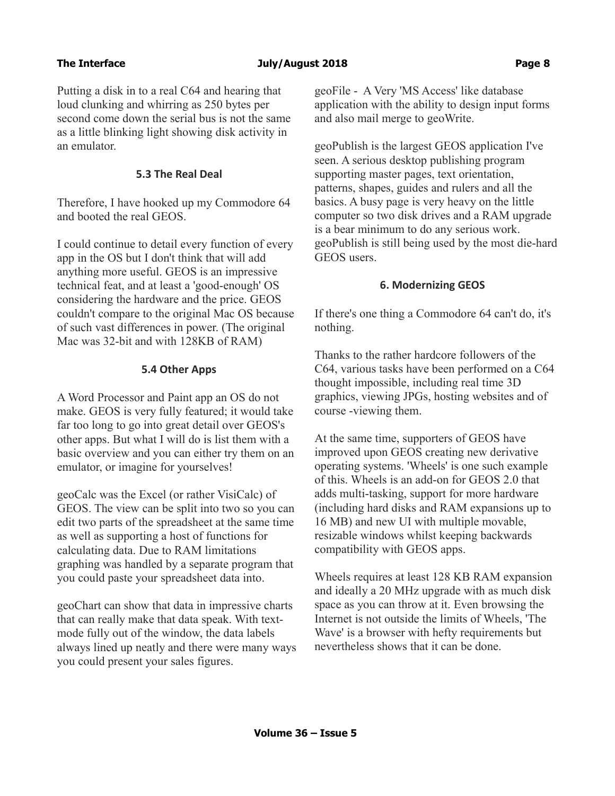Putting a disk in to a real C64 and hearing that loud clunking and whirring as 250 bytes per second come down the serial bus is not the same as a little blinking light showing disk activity in an emulator.

### **5.3 The Real Deal**

Therefore, I have hooked up my Commodore 64 and booted the real GEOS.

I could continue to detail every function of every app in the OS but I don't think that will add anything more useful. GEOS is an impressive technical feat, and at least a 'good-enough' OS considering the hardware and the price. GEOS couldn't compare to the original Mac OS because of such vast differences in power. (The original Mac was 32-bit and with 128KB of RAM)

### **5.4 Other Apps**

A Word Processor and Paint app an OS do not make. GEOS is very fully featured; it would take far too long to go into great detail over GEOS's other apps. But what I will do is list them with a basic overview and you can either try them on an emulator, or imagine for yourselves!

geoCalc was the Excel (or rather VisiCalc) of GEOS. The view can be split into two so you can edit two parts of the spreadsheet at the same time as well as supporting a host of functions for calculating data. Due to RAM limitations graphing was handled by a separate program that you could paste your spreadsheet data into.

geoChart can show that data in impressive charts that can really make that data speak. With textmode fully out of the window, the data labels always lined up neatly and there were many ways you could present your sales figures.

geoFile - A Very 'MS Access' like database application with the ability to design input forms and also mail merge to geoWrite.

geoPublish is the largest GEOS application I've seen. A serious desktop publishing program supporting master pages, text orientation, patterns, shapes, guides and rulers and all the basics. A busy page is very heavy on the little computer so two disk drives and a RAM upgrade is a bear minimum to do any serious work. geoPublish is still being used by the most die-hard GEOS users.

### **6. Modernizing GEOS**

If there's one thing a Commodore 64 can't do, it's nothing.

Thanks to the rather hardcore followers of the C64, various tasks have been performed on a C64 thought impossible, including real time 3D graphics, viewing JPGs, hosting websites and of course -viewing them.

At the same time, supporters of GEOS have improved upon GEOS creating new derivative operating systems. 'Wheels' is one such example of this. Wheels is an add-on for GEOS 2.0 that adds multi-tasking, support for more hardware (including hard disks and RAM expansions up to 16 MB) and new UI with multiple movable, resizable windows whilst keeping backwards compatibility with GEOS apps.

Wheels requires at least 128 KB RAM expansion and ideally a 20 MHz upgrade with as much disk space as you can throw at it. Even browsing the Internet is not outside the limits of Wheels, 'The Wave' is a browser with hefty requirements but nevertheless shows that it can be done.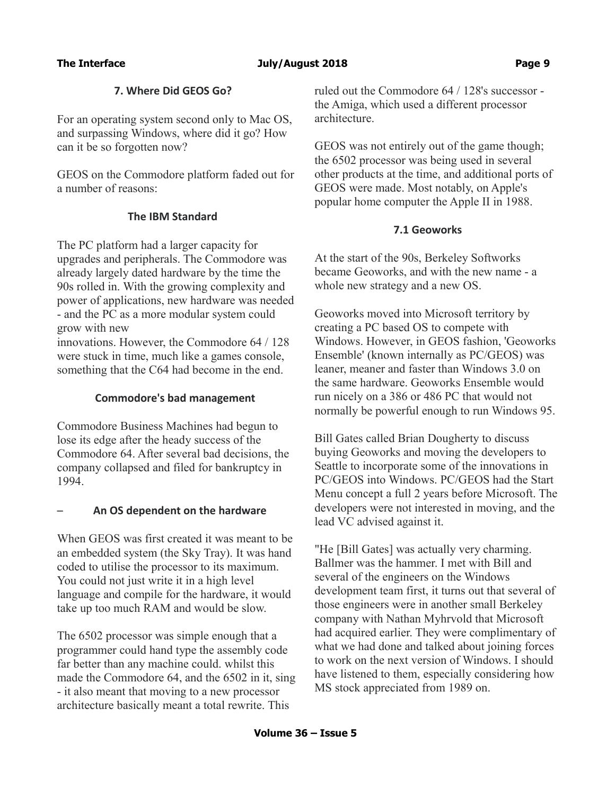# **7. Where Did GEOS Go?**

For an operating system second only to Mac OS, and surpassing Windows, where did it go? How can it be so forgotten now?

GEOS on the Commodore platform faded out for a number of reasons:

# **The IBM Standard**

The PC platform had a larger capacity for upgrades and peripherals. The Commodore was already largely dated hardware by the time the 90s rolled in. With the growing complexity and power of applications, new hardware was needed - and the PC as a more modular system could grow with new

innovations. However, the Commodore 64 / 128 were stuck in time, much like a games console, something that the C64 had become in the end.

### **Commodore's bad management**

Commodore Business Machines had begun to lose its edge after the heady success of the Commodore 64. After several bad decisions, the company collapsed and filed for bankruptcy in 1994.

# – **An OS dependent on the hardware**

When GEOS was first created it was meant to be an embedded system (the Sky Tray). It was hand coded to utilise the processor to its maximum. You could not just write it in a high level language and compile for the hardware, it would take up too much RAM and would be slow.

The 6502 processor was simple enough that a programmer could hand type the assembly code far better than any machine could. whilst this made the Commodore 64, and the 6502 in it, sing - it also meant that moving to a new processor architecture basically meant a total rewrite. This

ruled out the Commodore 64 / 128's successor the Amiga, which used a different processor architecture.

GEOS was not entirely out of the game though; the 6502 processor was being used in several other products at the time, and additional ports of GEOS were made. Most notably, on Apple's popular home computer the Apple II in 1988.

### **7.1 Geoworks**

At the start of the 90s, Berkeley Softworks became Geoworks, and with the new name - a whole new strategy and a new OS.

Geoworks moved into Microsoft territory by creating a PC based OS to compete with Windows. However, in GEOS fashion, 'Geoworks Ensemble' (known internally as PC/GEOS) was leaner, meaner and faster than Windows 3.0 on the same hardware. Geoworks Ensemble would run nicely on a 386 or 486 PC that would not normally be powerful enough to run Windows 95.

Bill Gates called Brian Dougherty to discuss buying Geoworks and moving the developers to Seattle to incorporate some of the innovations in PC/GEOS into Windows. PC/GEOS had the Start Menu concept a full 2 years before Microsoft. The developers were not interested in moving, and the lead VC advised against it.

"He [Bill Gates] was actually very charming. Ballmer was the hammer. I met with Bill and several of the engineers on the Windows development team first, it turns out that several of those engineers were in another small Berkeley company with Nathan Myhrvold that Microsoft had acquired earlier. They were complimentary of what we had done and talked about joining forces to work on the next version of Windows. I should have listened to them, especially considering how MS stock appreciated from 1989 on.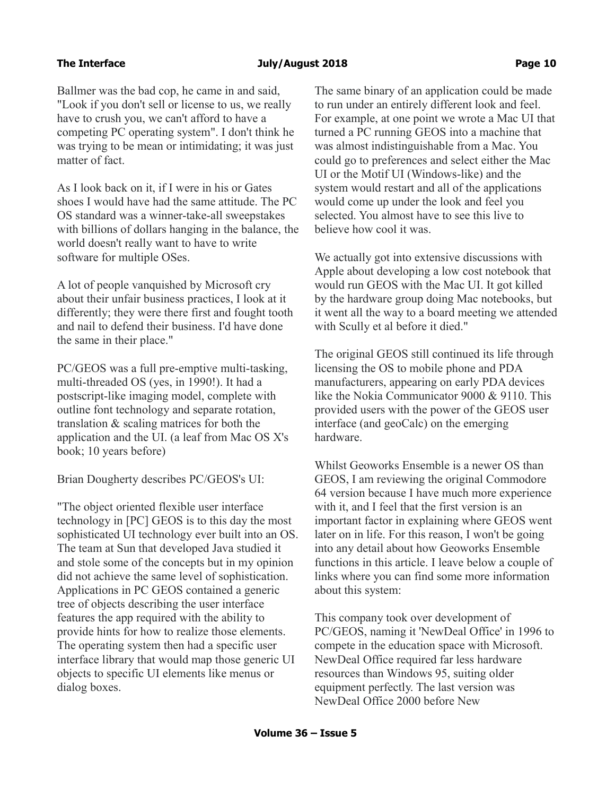Ballmer was the bad cop, he came in and said, "Look if you don't sell or license to us, we really have to crush you, we can't afford to have a competing PC operating system". I don't think he was trying to be mean or intimidating; it was just matter of fact.

As I look back on it, if I were in his or Gates shoes I would have had the same attitude. The PC OS standard was a winner-take-all sweepstakes with billions of dollars hanging in the balance, the world doesn't really want to have to write software for multiple OSes.

A lot of people vanquished by Microsoft cry about their unfair business practices, I look at it differently; they were there first and fought tooth and nail to defend their business. I'd have done the same in their place."

PC/GEOS was a full pre-emptive multi-tasking, multi-threaded OS (yes, in 1990!). It had a postscript-like imaging model, complete with outline font technology and separate rotation, translation & scaling matrices for both the application and the UI. (a leaf from Mac OS X's book; 10 years before)

Brian Dougherty describes PC/GEOS's UI:

"The object oriented flexible user interface technology in [PC] GEOS is to this day the most sophisticated UI technology ever built into an OS. The team at Sun that developed Java studied it and stole some of the concepts but in my opinion did not achieve the same level of sophistication. Applications in PC GEOS contained a generic tree of objects describing the user interface features the app required with the ability to provide hints for how to realize those elements. The operating system then had a specific user interface library that would map those generic UI objects to specific UI elements like menus or dialog boxes.

The same binary of an application could be made to run under an entirely different look and feel. For example, at one point we wrote a Mac UI that turned a PC running GEOS into a machine that was almost indistinguishable from a Mac. You could go to preferences and select either the Mac UI or the Motif UI (Windows-like) and the system would restart and all of the applications would come up under the look and feel you selected. You almost have to see this live to believe how cool it was.

We actually got into extensive discussions with Apple about developing a low cost notebook that would run GEOS with the Mac UI. It got killed by the hardware group doing Mac notebooks, but it went all the way to a board meeting we attended with Scully et al before it died."

The original GEOS still continued its life through licensing the OS to mobile phone and PDA manufacturers, appearing on early PDA devices like the Nokia Communicator 9000 & 9110. This provided users with the power of the GEOS user interface (and geoCalc) on the emerging hardware.

Whilst Geoworks Ensemble is a newer OS than GEOS, I am reviewing the original Commodore 64 version because I have much more experience with it, and I feel that the first version is an important factor in explaining where GEOS went later on in life. For this reason, I won't be going into any detail about how Geoworks Ensemble functions in this article. I leave below a couple of links where you can find some more information about this system:

This company took over development of PC/GEOS, naming it 'NewDeal Office' in 1996 to compete in the education space with Microsoft. NewDeal Office required far less hardware resources than Windows 95, suiting older equipment perfectly. The last version was NewDeal Office 2000 before New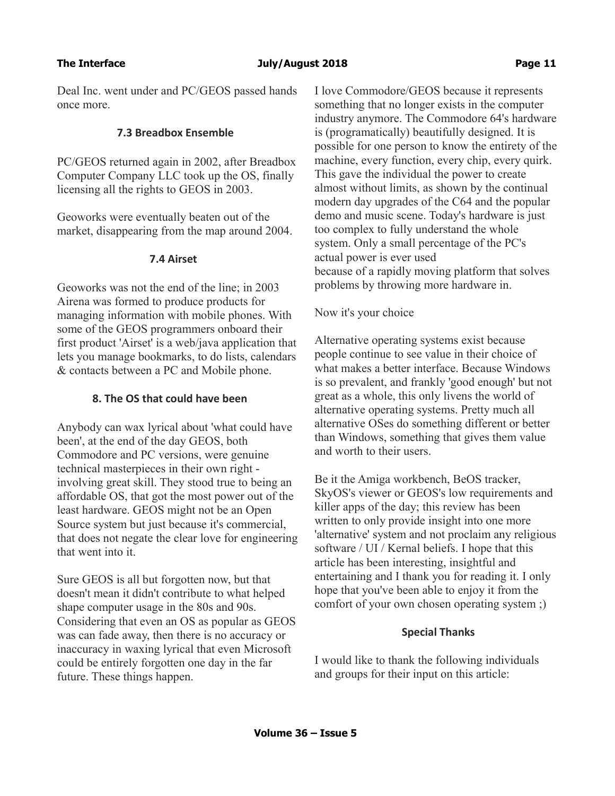Deal Inc. went under and PC/GEOS passed hands once more.

# **7.3 Breadbox Ensemble**

PC/GEOS returned again in 2002, after Breadbox Computer Company LLC took up the OS, finally licensing all the rights to GEOS in 2003.

Geoworks were eventually beaten out of the market, disappearing from the map around 2004.

#### **7.4 Airset**

Geoworks was not the end of the line; in 2003 Airena was formed to produce products for managing information with mobile phones. With some of the GEOS programmers onboard their first product 'Airset' is a web/java application that lets you manage bookmarks, to do lists, calendars & contacts between a PC and Mobile phone.

# **8. The OS that could have been**

Anybody can wax lyrical about 'what could have been', at the end of the day GEOS, both Commodore and PC versions, were genuine technical masterpieces in their own right involving great skill. They stood true to being an affordable OS, that got the most power out of the least hardware. GEOS might not be an Open Source system but just because it's commercial, that does not negate the clear love for engineering that went into it.

Sure GEOS is all but forgotten now, but that doesn't mean it didn't contribute to what helped shape computer usage in the 80s and 90s. Considering that even an OS as popular as GEOS was can fade away, then there is no accuracy or inaccuracy in waxing lyrical that even Microsoft could be entirely forgotten one day in the far future. These things happen.

I love Commodore/GEOS because it represents something that no longer exists in the computer industry anymore. The Commodore 64's hardware is (programatically) beautifully designed. It is possible for one person to know the entirety of the machine, every function, every chip, every quirk. This gave the individual the power to create almost without limits, as shown by the continual modern day upgrades of the C64 and the popular demo and music scene. Today's hardware is just too complex to fully understand the whole system. Only a small percentage of the PC's actual power is ever used because of a rapidly moving platform that solves problems by throwing more hardware in.

# Now it's your choice

Alternative operating systems exist because people continue to see value in their choice of what makes a better interface. Because Windows is so prevalent, and frankly 'good enough' but not great as a whole, this only livens the world of alternative operating systems. Pretty much all alternative OSes do something different or better than Windows, something that gives them value and worth to their users.

Be it the Amiga workbench, BeOS tracker, SkyOS's viewer or GEOS's low requirements and killer apps of the day; this review has been written to only provide insight into one more 'alternative' system and not proclaim any religious software / UI / Kernal beliefs. I hope that this article has been interesting, insightful and entertaining and I thank you for reading it. I only hope that you've been able to enjoy it from the comfort of your own chosen operating system ;)

#### **Special Thanks**

I would like to thank the following individuals and groups for their input on this article: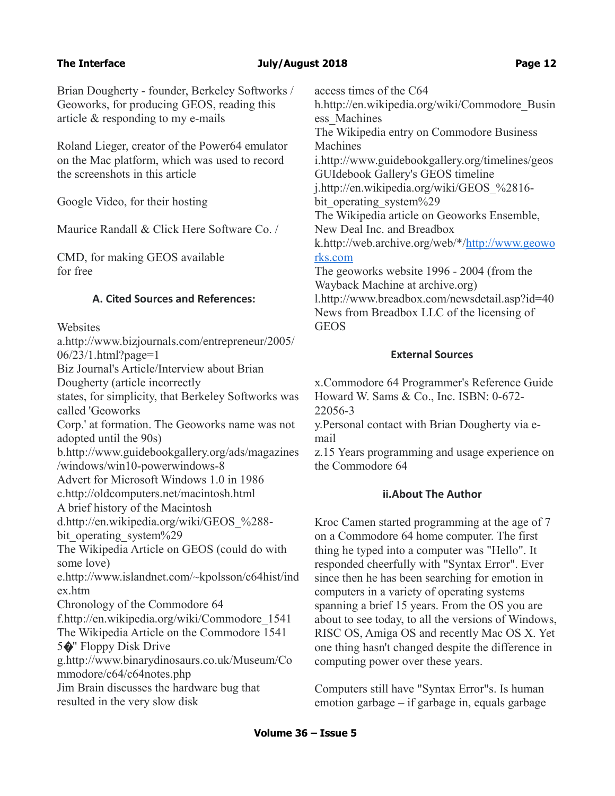Brian Dougherty - founder, Berkeley Softworks / Geoworks, for producing GEOS, reading this article & responding to my e-mails

Roland Lieger, creator of the Power64 emulator on the Mac platform, which was used to record the screenshots in this article

Google Video, for their hosting

Maurice Randall & Click Here Software Co. /

CMD, for making GEOS available for free

# **A. Cited Sources and References:**

**Websites** 

a.http://www.bizjournals.com/entrepreneur/2005/ 06/23/1.html?page=1 Biz Journal's Article/Interview about Brian Dougherty (article incorrectly states, for simplicity, that Berkeley Softworks was called 'Geoworks Corp.' at formation. The Geoworks name was not adopted until the 90s) b.http://www.guidebookgallery.org/ads/magazines /windows/win10-powerwindows-8 Advert for Microsoft Windows 1.0 in 1986 c.http://oldcomputers.net/macintosh.html A brief history of the Macintosh d.http://en.wikipedia.org/wiki/GEOS\_%288 bit operating system%29 The Wikipedia Article on GEOS (could do with some love) e.http://www.islandnet.com/~kpolsson/c64hist/ind ex.htm Chronology of the Commodore 64 f.http://en.wikipedia.org/wiki/Commodore\_1541 The Wikipedia Article on the Commodore 1541  $5 \cdot \bullet$ " Floppy Disk Drive g.http://www.binarydinosaurs.co.uk/Museum/Co mmodore/c64/c64notes.php Jim Brain discusses the hardware bug that resulted in the very slow disk

access times of the C64 h.http://en.wikipedia.org/wiki/Commodore\_Busin ess\_Machines The Wikipedia entry on Commodore Business Machines i.http://www.guidebookgallery.org/timelines/geos GUIdebook Gallery's GEOS timeline j.http://en.wikipedia.org/wiki/GEOS\_%2816 bit operating system%29 The Wikipedia article on Geoworks Ensemble, New Deal Inc. and Breadbox k.http://web.archive.org/web/\*[/http://www.geowo](http://www.geoworks.com/) [rks.com](http://www.geoworks.com/) The geoworks website 1996 - 2004 (from the Wayback Machine at archive.org) l.http://www.breadbox.com/newsdetail.asp?id=40 News from Breadbox LLC of the licensing of GEOS

# **External Sources**

x.Commodore 64 Programmer's Reference Guide Howard W. Sams & Co., Inc. ISBN: 0-672- 22056-3 y.Personal contact with Brian Dougherty via e-

mail

z.15 Years programming and usage experience on the Commodore 64

# **ii.About The Author**

Kroc Camen started programming at the age of 7 on a Commodore 64 home computer. The first thing he typed into a computer was "Hello". It responded cheerfully with "Syntax Error". Ever since then he has been searching for emotion in computers in a variety of operating systems spanning a brief 15 years. From the OS you are about to see today, to all the versions of Windows, RISC OS, Amiga OS and recently Mac OS X. Yet one thing hasn't changed despite the difference in computing power over these years.

Computers still have "Syntax Error"s. Is human emotion garbage – if garbage in, equals garbage